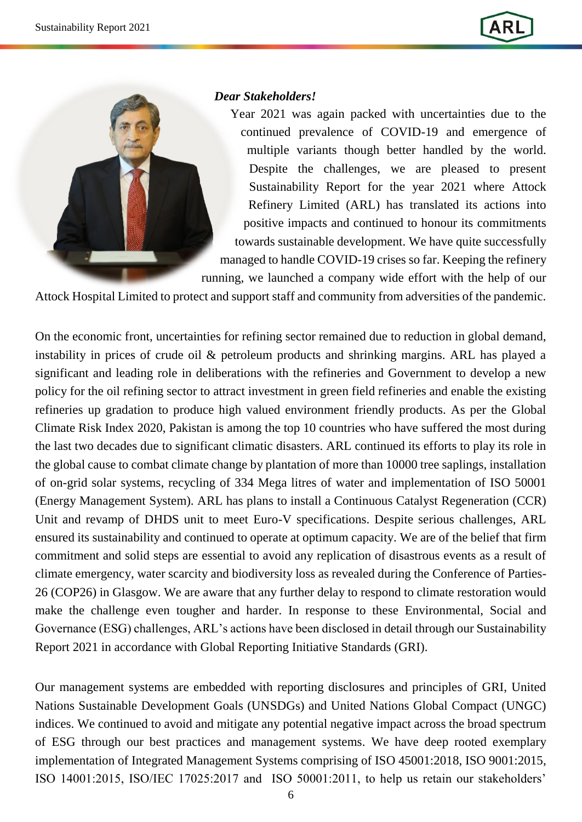

## *Dear Stakeholders!*

Year 2021 was again packed with uncertainties due to the continued prevalence of COVID-19 and emergence of multiple variants though better handled by the world. Despite the challenges, we are pleased to present Sustainability Report for the year 2021 where Attock Refinery Limited (ARL) has translated its actions into positive impacts and continued to honour its commitments towards sustainable development. We have quite successfully managed to handle COVID-19 crises so far. Keeping the refinery running, we launched a company wide effort with the help of our

Attock Hospital Limited to protect and support staff and community from adversities of the pandemic.

On the economic front, uncertainties for refining sector remained due to reduction in global demand, instability in prices of crude oil & petroleum products and shrinking margins. ARL has played a significant and leading role in deliberations with the refineries and Government to develop a new policy for the oil refining sector to attract investment in green field refineries and enable the existing refineries up gradation to produce high valued environment friendly products. As per the Global Climate Risk Index 2020, Pakistan is among the top 10 countries who have suffered the most during the last two decades due to significant climatic disasters. ARL continued its efforts to play its role in the global cause to combat climate change by plantation of more than 10000 tree saplings, installation of on-grid solar systems, recycling of 334 Mega litres of water and implementation of ISO 50001 (Energy Management System). ARL has plans to install a Continuous Catalyst Regeneration (CCR) Unit and revamp of DHDS unit to meet Euro-V specifications. Despite serious challenges, ARL ensured its sustainability and continued to operate at optimum capacity. We are of the belief that firm commitment and solid steps are essential to avoid any replication of disastrous events as a result of climate emergency, water scarcity and biodiversity loss as revealed during the Conference of Parties-26 (COP26) in Glasgow. We are aware that any further delay to respond to climate restoration would make the challenge even tougher and harder. In response to these Environmental, Social and Governance (ESG) challenges, ARL's actions have been disclosed in detail through our Sustainability Report 2021 in accordance with Global Reporting Initiative Standards (GRI).

Our management systems are embedded with reporting disclosures and principles of GRI, United Nations Sustainable Development Goals (UNSDGs) and United Nations Global Compact (UNGC) indices. We continued to avoid and mitigate any potential negative impact across the broad spectrum of ESG through our best practices and management systems. We have deep rooted exemplary implementation of Integrated Management Systems comprising of ISO 45001:2018, ISO 9001:2015, ISO 14001:2015, ISO/IEC 17025:2017 and ISO 50001:2011, to help us retain our stakeholders'